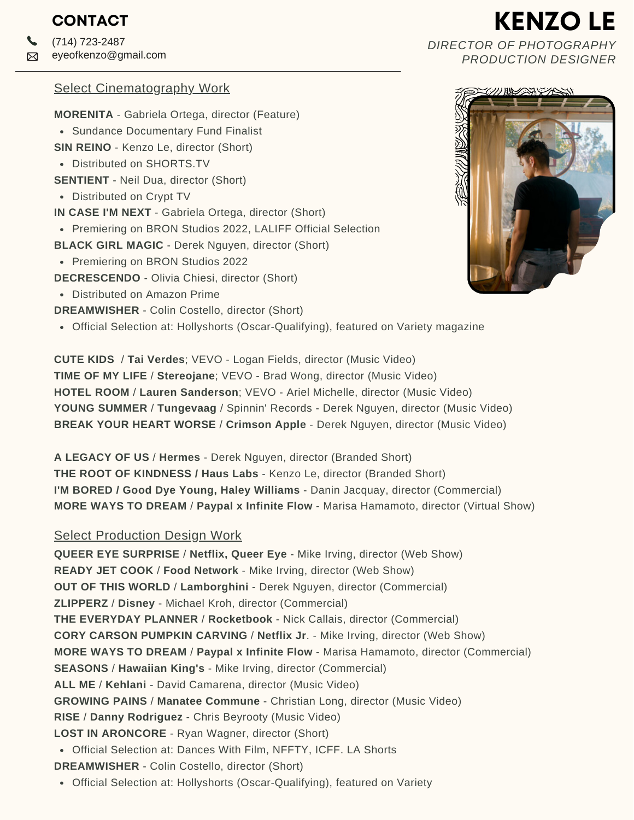(714) 723-2487 eyeofkenzo@gmail.com **Z** 

### Select Cinematography Work

**MORENITA** - Gabriela Ortega, director (Feature)

- Sundance Documentary Fund Finalist
- **SIN REINO** Kenzo Le, director (Short)
- Distributed on SHORTS.TV
- **SENTIENT** Neil Dua, director (Short)
- Distributed on Crypt TV
- **IN CASE I'M NEXT** Gabriela Ortega, director (Short)
- Premiering on BRON Studios 2022, LALIFF Official Selection
- **BLACK GIRL MAGIC** Derek Nguyen, director (Short)
- Premiering on BRON Studios 2022

**DECRESCENDO** - Olivia Chiesi, director (Short)

Distributed on Amazon Prime

**DREAMWISHER** - Colin Costello, director (Short)

Official Selection at: Hollyshorts (Oscar-Qualifying), featured on Variety magazine

**CUTE KIDS** / **Tai Verdes**; VEVO - Logan Fields, director (Music Video) **TIME OF MY LIFE** / **Stereojane**; VEVO - Brad Wong, director (Music Video) **HOTEL ROOM** / **Lauren Sanderson**; VEVO - Ariel Michelle, director (Music Video) **YOUNG SUMMER** / **Tungevaag** / Spinnin' Records - Derek Nguyen, director (Music Video) **BREAK YOUR HEART WORSE** / **Crimson Apple** - Derek Nguyen, director (Music Video)

**A LEGACY OF US** / **Hermes** - Derek Nguyen, director (Branded Short) **THE ROOT OF KINDNESS / Haus Labs** - Kenzo Le, director (Branded Short) **I'M BORED / Good Dye Young, Haley Williams** - Danin Jacquay, director (Commercial) **MORE WAYS TO DREAM** / **Paypal x Infinite Flow** - Marisa Hamamoto, director (Virtual Show)

## Select Production Design Work

Official Selection at: Dances With Film, NFFTY, ICFF. LA Shorts **QUEER EYE SURPRISE** / **Netflix, Queer Eye** - Mike Irving, director (Web Show) **READY JET COOK** / **Food Network** - Mike Irving, director (Web Show) **OUT OF THIS WORLD** / **Lamborghini** - Derek Nguyen, director (Commercial) **ZLIPPERZ** / **Disney** - Michael Kroh, director (Commercial) **THE EVERYDAY PLANNER** / **Rocketbook** - Nick Callais, director (Commercial) **CORY CARSON PUMPKIN CARVING** / **Netflix Jr**. - Mike Irving, director (Web Show) **MORE WAYS TO DREAM** / **Paypal x Infinite Flow** - Marisa Hamamoto, director (Commercial) **SEASONS** / **Hawaiian King's** - Mike Irving, director (Commercial) **ALL ME** / **Kehlani** - David Camarena, director (Music Video) **GROWING PAINS** / **Manatee Commune** - Christian Long, director (Music Video) **RISE** / **Danny Rodriguez** - Chris Beyrooty (Music Video) **LOST IN ARONCORE** - Ryan Wagner, director (Short) **DREAMWISHER** - Colin Costello, director (Short)

• Official Selection at: Hollyshorts (Oscar-Qualifying), featured on Variety

# *DIRECTOR OF PHOTOGRAPHY PRODUCTION DESIGNER*

**KENZO LE**